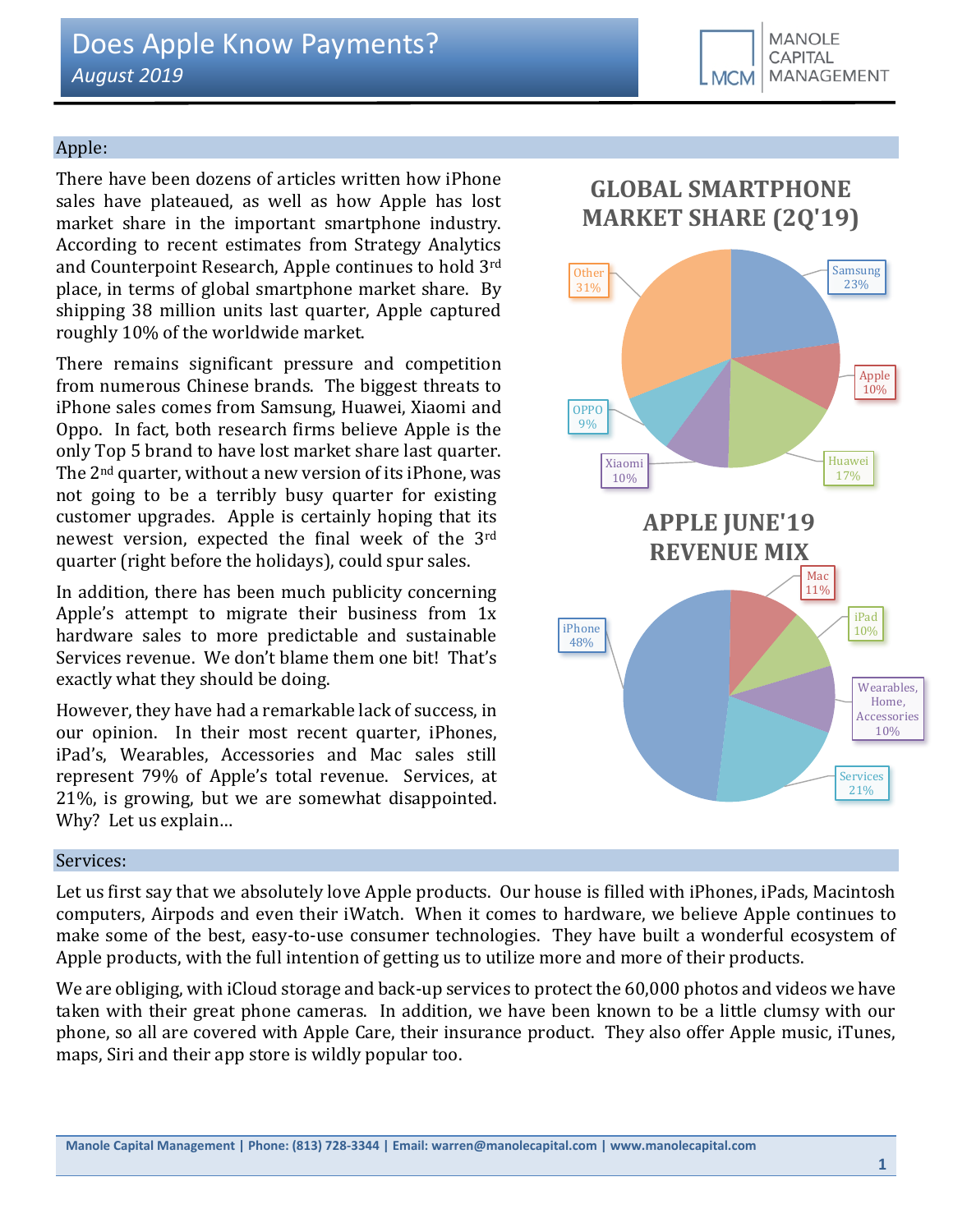## Apple:

There have been dozens of articles written how iPhone sales have plateaued, as well as how Apple has lost market share in the important smartphone industry. According to recent estimates from Strategy Analytics and Counterpoint Research, Apple continues to hold 3rd place, in terms of global smartphone market share. By shipping 38 million units last quarter, Apple captured roughly 10% of the worldwide market.

There remains significant pressure and competition from numerous Chinese brands. The biggest threats to iPhone sales comes from Samsung, Huawei, Xiaomi and Oppo. In fact, both research firms believe Apple is the only Top 5 brand to have lost market share last quarter. The 2nd quarter, without a new version of its iPhone, was not going to be a terribly busy quarter for existing customer upgrades. Apple is certainly hoping that its newest version, expected the final week of the 3rd quarter (right before the holidays), could spur sales.

In addition, there has been much publicity concerning Apple's attempt to migrate their business from 1x hardware sales to more predictable and sustainable Services revenue. We don't blame them one bit! That's exactly what they should be doing.

However, they have had a remarkable lack of success, in our opinion. In their most recent quarter, iPhones, iPad's, Wearables, Accessories and Mac sales still represent 79% of Apple's total revenue. Services, at 21%, is growing, but we are somewhat disappointed. Why? Let us explain…

# **GLOBAL SMARTPHONE MARKET SHARE (2Q'19)**



#### Services:

Let us first say that we absolutely love Apple products. Our house is filled with iPhones, iPads, Macintosh computers, Airpods and even their iWatch. When it comes to hardware, we believe Apple continues to make some of the best, easy-to-use consumer technologies. They have built a wonderful ecosystem of Apple products, with the full intention of getting us to utilize more and more of their products.

We are obliging, with iCloud storage and back-up services to protect the 60,000 photos and videos we have taken with their great phone cameras. In addition, we have been known to be a little clumsy with our phone, so all are covered with Apple Care, their insurance product. They also offer Apple music, iTunes, maps, Siri and their app store is wildly popular too.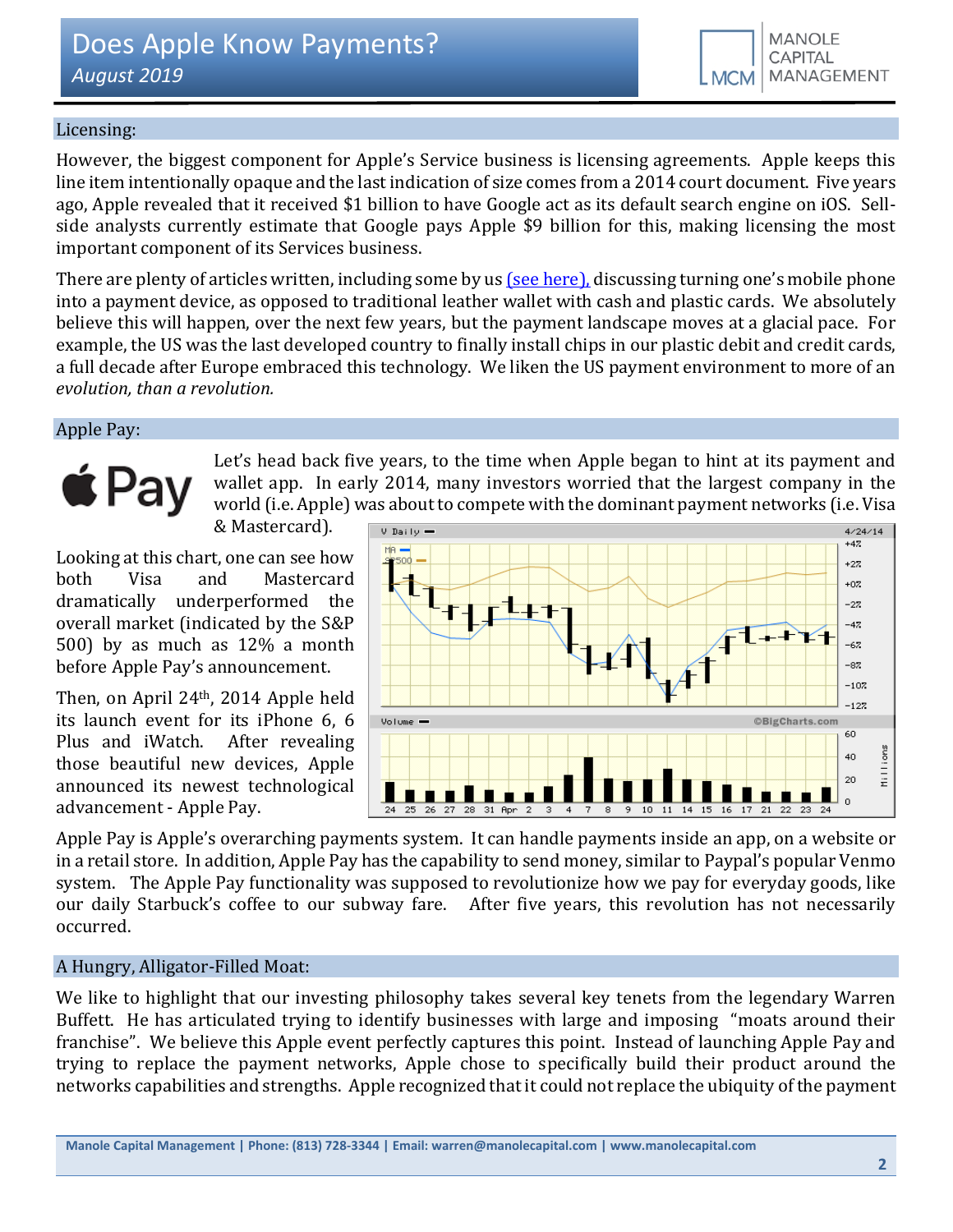# Licensing:

However, the biggest component for Apple's Service business is licensing agreements. Apple keeps this line item intentionally opaque and the last indication of size comes from a 2014 court document. Five years ago, Apple revealed that it received \$1 billion to have Google act as its default search engine on iOS. Sellside analysts currently estimate that Google pays Apple \$9 billion for this, making licensing the most important component of its Services business.

There are plenty of articles written, including some by u[s \(see here\),](http://www.manolecapital.com/research) discussing turning one's mobile phone into a payment device, as opposed to traditional leather wallet with cash and plastic cards. We absolutely believe this will happen, over the next few years, but the payment landscape moves at a glacial pace. For example, the US was the last developed country to finally install chips in our plastic debit and credit cards, a full decade after Europe embraced this technology. We liken the US payment environment to more of an *evolution, than a revolution.*

# Apple Pay:

# $\triangle$  Pay

Let's head back five years, to the time when Apple began to hint at its payment and wallet app. In early 2014, many investors worried that the largest company in the world (i.e. Apple) was about to compete with the dominant payment networks (i.e. Visa

& Mastercard).

Looking at this chart, one can see how both Visa and Mastercard dramatically underperformed the overall market (indicated by the S&P 500) by as much as 12% a month before Apple Pay's announcement.

Then, on April 24th, 2014 Apple held its launch event for its iPhone 6, 6 Plus and iWatch. After revealing those beautiful new devices, Apple announced its newest technological advancement - Apple Pay.



Apple Pay is Apple's overarching payments system. It can handle payments inside an app, on a website or in a retail store. In addition, Apple Pay has the capability to send money, similar to Paypal's popular Venmo system. The Apple Pay functionality was supposed to revolutionize how we pay for everyday goods, like our daily Starbuck's coffee to our subway fare. After five years, this revolution has not necessarily occurred.

# A Hungry, Alligator-Filled Moat:

We like to highlight that our investing philosophy takes several key tenets from the legendary Warren Buffett. He has articulated trying to identify businesses with large and imposing "moats around their franchise". We believe this Apple event perfectly captures this point. Instead of launching Apple Pay and trying to replace the payment networks, Apple chose to specifically build their product around the networks capabilities and strengths. Apple recognized that it could not replace the ubiquity of the payment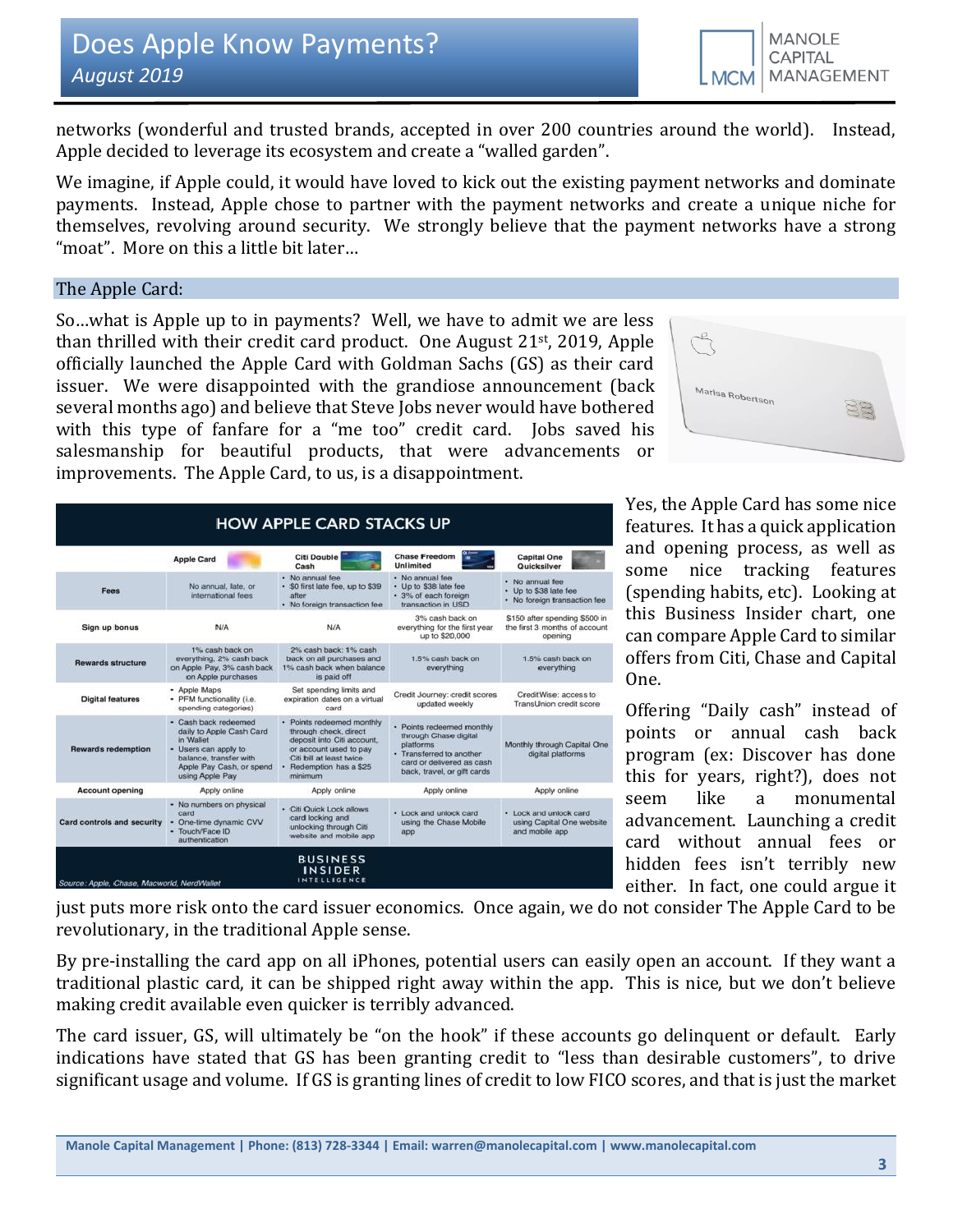

networks (wonderful and trusted brands, accepted in over 200 countries around the world). Instead, Apple decided to leverage its ecosystem and create a "walled garden".

We imagine, if Apple could, it would have loved to kick out the existing payment networks and dominate payments. Instead, Apple chose to partner with the payment networks and create a unique niche for themselves, revolving around security. We strongly believe that the payment networks have a strong "moat". More on this a little bit later…

#### The Apple Card:

So…what is Apple up to in payments? Well, we have to admit we are less than thrilled with their credit card product. One August 21st, 2019, Apple officially launched the Apple Card with Goldman Sachs (GS) as their card issuer. We were disappointed with the grandiose announcement (back several months ago) and believe that Steve Jobs never would have bothered with this type of fanfare for a "me too" credit card. Jobs saved his salesmanship for beautiful products, that were advancements or improvements. The Apple Card, to us, is a disappointment.



|                            | <b>Apple Card</b>                                                                                                                                              | Citi Double<br>Cash                                                                                                                                                          | <b>Chase Freedom</b><br><b>Unlimited</b>                                                                                                                | <b>Capital One</b><br>Quicksilver                                         |
|----------------------------|----------------------------------------------------------------------------------------------------------------------------------------------------------------|------------------------------------------------------------------------------------------------------------------------------------------------------------------------------|---------------------------------------------------------------------------------------------------------------------------------------------------------|---------------------------------------------------------------------------|
| Fees                       | No annual, late, or<br>international fees.                                                                                                                     | · No annual fee<br>· SO first late fee, up to \$39<br>after<br>· No foreign transaction fee                                                                                  | · No annual fee<br>• Up to \$38 late fee<br>· 3% of each foreign<br>transaction in USD                                                                  | · No annual fee<br>• Up to \$38 late fee<br>· No foreign transaction fee  |
| Sign up bonus              | N/A                                                                                                                                                            | N/A                                                                                                                                                                          | 3% cash back on<br>everything for the first year<br>up to \$20,000                                                                                      | \$150 after spending \$500 in<br>the first 3 months of account<br>opening |
| <b>Rewards structure</b>   | 1% cash back on<br>everything, 2% cash back<br>on Apple Pay, 3% cash back<br>on Apple purchases                                                                | 2% cash back: 1% cash<br>back on all purchases and<br>1% cash back when balance<br>is paid off                                                                               | 1.5% cash back on<br>everything                                                                                                                         | 1.5% cash back on<br>everything                                           |
| <b>Digital features</b>    | · Apple Maps<br>· PFM functionality (i.e.<br>spending categories)                                                                                              | Set spending limits and<br>expiration dates on a virtual<br>card                                                                                                             | Credit Journey: credit scores<br>updated weekly                                                                                                         | CreditWise: access to<br>TransUnion credit score                          |
| <b>Rewards redemption</b>  | · Cash back redeemed<br>daily to Apple Cash Card<br>in Wallet<br>· Users can apply to<br>balance, transfer with<br>Apple Pay Cash, or spend<br>using Apple Pay | · Points redeemed monthly<br>through check, direct<br>deposit into Citi account,<br>or account used to pay<br>Citi bill at least twice<br>· Redemption has a \$25<br>minimum | · Points redeemed monthly<br>through Chase digital<br>platforms<br>· Transferred to another<br>card or delivered as cash<br>back, travel, or gift cards | Monthly through Capital One<br>digital platforms                          |
| <b>Account opening</b>     | Apply online                                                                                                                                                   | Apply online                                                                                                                                                                 | Apply online                                                                                                                                            | Apply online                                                              |
| Card controls and security | • No numbers on physical<br>card<br>One-time dynamic CVV<br>· Touch/Face ID<br>authentication                                                                  | · Citi Quick Lock allows<br>card locking and<br>unlocking through Citi<br>website and mobile app                                                                             | · Lock and unlock card<br>using the Chase Mobile<br>app                                                                                                 | · Lock and unlock card<br>using Capital One website<br>and mobile app     |

Yes, the Apple Card has some nice features. It has a quick application and opening process, as well as some nice tracking features (spending habits, etc). Looking at this Business Insider chart, one can compare Apple Card to similar offers from Citi, Chase and Capital One.

Offering "Daily cash" instead of points or annual cash back program (ex: Discover has done this for years, right?), does not seem like a monumental advancement. Launching a credit card without annual fees or hidden fees isn't terribly new either. In fact, one could argue it

just puts more risk onto the card issuer economics. Once again, we do not consider The Apple Card to be revolutionary, in the traditional Apple sense.

By pre-installing the card app on all iPhones, potential users can easily open an account. If they want a traditional plastic card, it can be shipped right away within the app. This is nice, but we don't believe making credit available even quicker is terribly advanced.

The card issuer, GS, will ultimately be "on the hook" if these accounts go delinquent or default. Early indications have stated that GS has been granting credit to "less than desirable customers", to drive significant usage and volume. If GS is granting lines of credit to low FICO scores, and that is just the market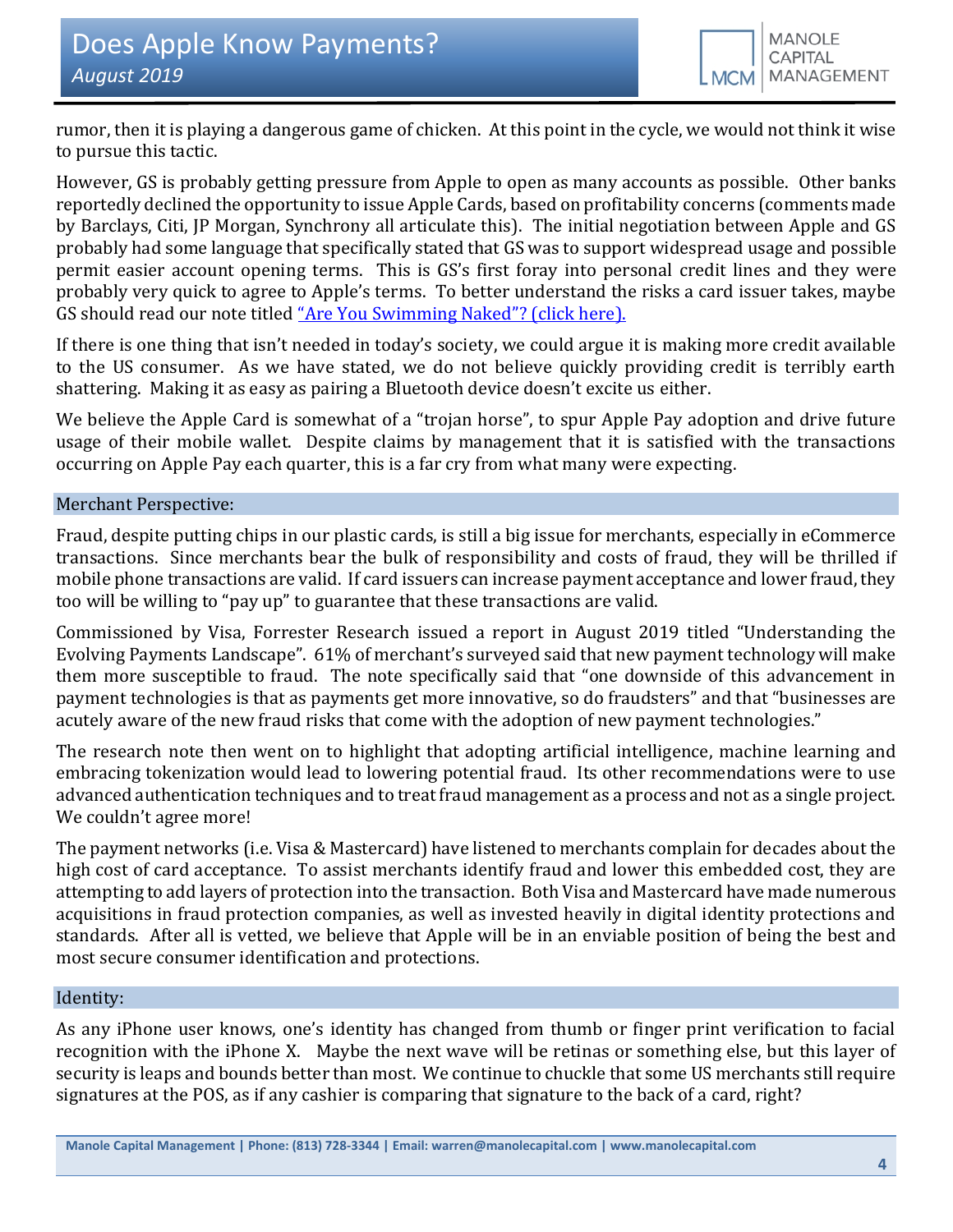rumor, then it is playing a dangerous game of chicken. At this point in the cycle, we would not think it wise to pursue this tactic.

However, GS is probably getting pressure from Apple to open as many accounts as possible. Other banks reportedly declined the opportunity to issue Apple Cards, based on profitability concerns (comments made by Barclays, Citi, JP Morgan, Synchrony all articulate this). The initial negotiation between Apple and GS probably had some language that specifically stated that GS was to support widespread usage and possible permit easier account opening terms. This is GS's first foray into personal credit lines and they were probably very quick to agree to Apple's terms. To better understand the risks a card issuer takes, maybe GS should read our note titled ["Are You Swimming Naked"? \(click here\).](https://seekingalpha.com/article/4179700-swimming-naked)

If there is one thing that isn't needed in today's society, we could argue it is making more credit available to the US consumer. As we have stated, we do not believe quickly providing credit is terribly earth shattering. Making it as easy as pairing a Bluetooth device doesn't excite us either.

We believe the Apple Card is somewhat of a "trojan horse", to spur Apple Pay adoption and drive future usage of their mobile wallet. Despite claims by management that it is satisfied with the transactions occurring on Apple Pay each quarter, this is a far cry from what many were expecting.

# Merchant Perspective:

Fraud, despite putting chips in our plastic cards, is still a big issue for merchants, especially in eCommerce transactions. Since merchants bear the bulk of responsibility and costs of fraud, they will be thrilled if mobile phone transactions are valid. If card issuers can increase payment acceptance and lower fraud, they too will be willing to "pay up" to guarantee that these transactions are valid.

Commissioned by Visa, Forrester Research issued a report in August 2019 titled "Understanding the Evolving Payments Landscape". 61% of merchant's surveyed said that new payment technology will make them more susceptible to fraud. The note specifically said that "one downside of this advancement in payment technologies is that as payments get more innovative, so do fraudsters" and that "businesses are acutely aware of the new fraud risks that come with the adoption of new payment technologies."

The research note then went on to highlight that adopting artificial intelligence, machine learning and embracing tokenization would lead to lowering potential fraud. Its other recommendations were to use advanced authentication techniques and to treat fraud management as a process and not as a single project. We couldn't agree more!

The payment networks (i.e. Visa & Mastercard) have listened to merchants complain for decades about the high cost of card acceptance. To assist merchants identify fraud and lower this embedded cost, they are attempting to add layers of protection into the transaction. Both Visa and Mastercard have made numerous acquisitions in fraud protection companies, as well as invested heavily in digital identity protections and standards. After all is vetted, we believe that Apple will be in an enviable position of being the best and most secure consumer identification and protections.

#### Identity:

As any iPhone user knows, one's identity has changed from thumb or finger print verification to facial recognition with the iPhone X. Maybe the next wave will be retinas or something else, but this layer of security is leaps and bounds better than most. We continue to chuckle that some US merchants still require signatures at the POS, as if any cashier is comparing that signature to the back of a card, right?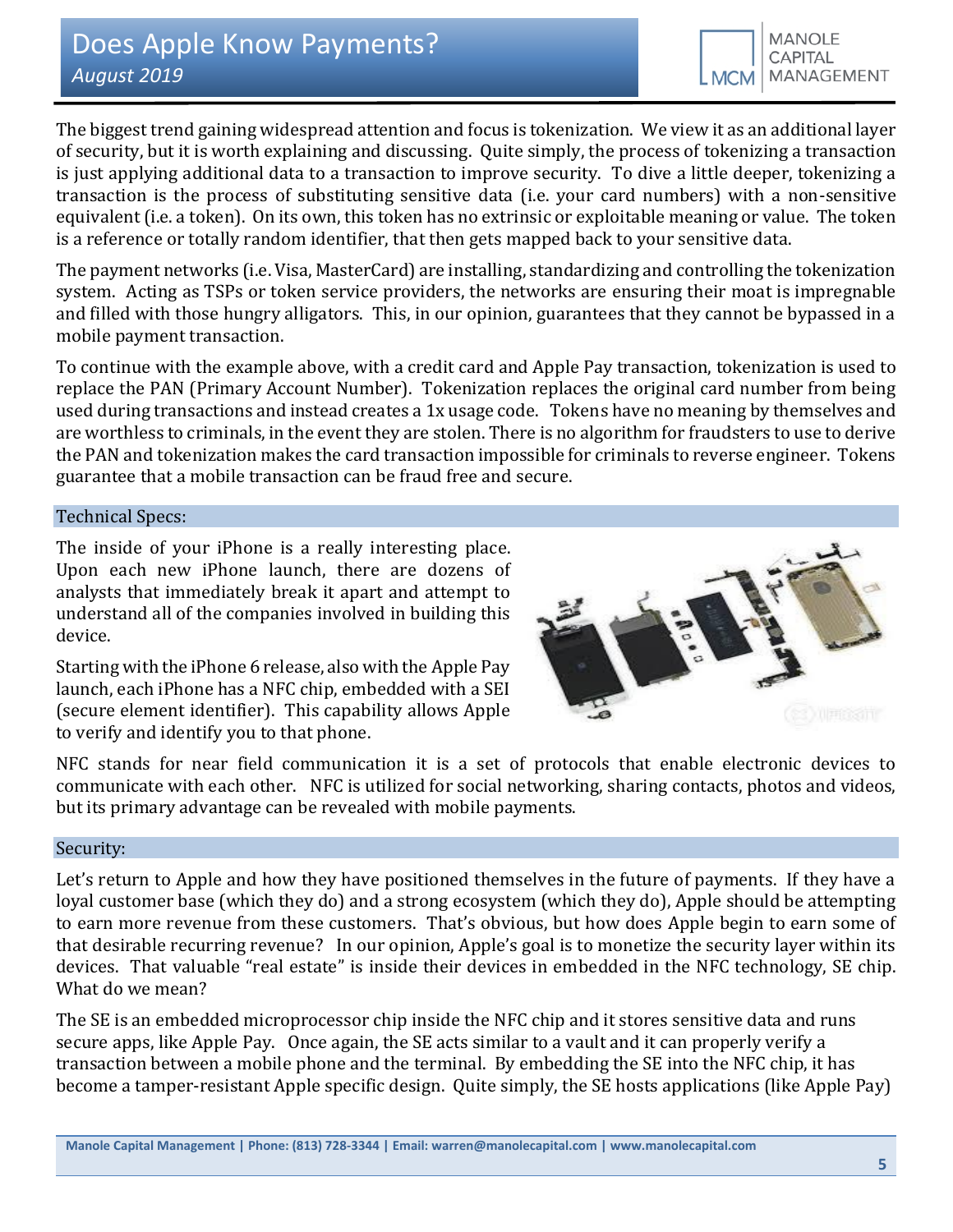The biggest trend gaining widespread attention and focus is tokenization. We view it as an additional layer of security, but it is worth explaining and discussing. Quite simply, the process of tokenizing a transaction is just applying additional data to a transaction to improve security. To dive a little deeper, tokenizing a transaction is the process of substituting sensitive data (i.e. your card numbers) with a non-sensitive equivalent (i.e. a token). On its own, this token has no extrinsic or exploitable meaning or value. The token is a reference or totally random identifier, that then gets mapped back to your sensitive data.

The payment networks (i.e. Visa, MasterCard) are installing, standardizing and controlling the tokenization system. Acting as TSPs or token service providers, the networks are ensuring their moat is impregnable and filled with those hungry alligators. This, in our opinion, guarantees that they cannot be bypassed in a mobile payment transaction.

To continue with the example above, with a credit card and Apple Pay transaction, tokenization is used to replace the PAN (Primary Account Number). Tokenization replaces the original card number from being used during transactions and instead creates a 1x usage code. Tokens have no meaning by themselves and are worthless to criminals, in the event they are stolen. There is no algorithm for fraudsters to use to derive the PAN and tokenization makes the card transaction impossible for criminals to reverse engineer. Tokens guarantee that a mobile transaction can be fraud free and secure.

# Technical Specs:

The inside of your iPhone is a really interesting place. Upon each new iPhone launch, there are dozens of analysts that immediately break it apart and attempt to understand all of the companies involved in building this device.

Starting with the iPhone 6 release, also with the Apple Pay launch, each iPhone has a NFC chip, embedded with a SEI (secure element identifier). This capability allows Apple to verify and identify you to that phone.



NFC stands for near field communication it is a set of protocols that enable electronic devices to communicate with each other. NFC is utilized for social networking, sharing contacts, photos and videos, but its primary advantage can be revealed with mobile payments.

#### Security:

Let's return to Apple and how they have positioned themselves in the future of payments. If they have a loyal customer base (which they do) and a strong ecosystem (which they do), Apple should be attempting to earn more revenue from these customers. That's obvious, but how does Apple begin to earn some of that desirable recurring revenue? In our opinion, Apple's goal is to monetize the security layer within its devices. That valuable "real estate" is inside their devices in embedded in the NFC technology, SE chip. What do we mean?

The SE is an embedded microprocessor chip inside the NFC chip and it stores sensitive data and runs secure apps, like Apple Pay. Once again, the SE acts similar to a vault and it can properly verify a transaction between a mobile phone and the terminal. By embedding the SE into the NFC chip, it has become a tamper-resistant Apple specific design. Quite simply, the SE hosts applications (like Apple Pay)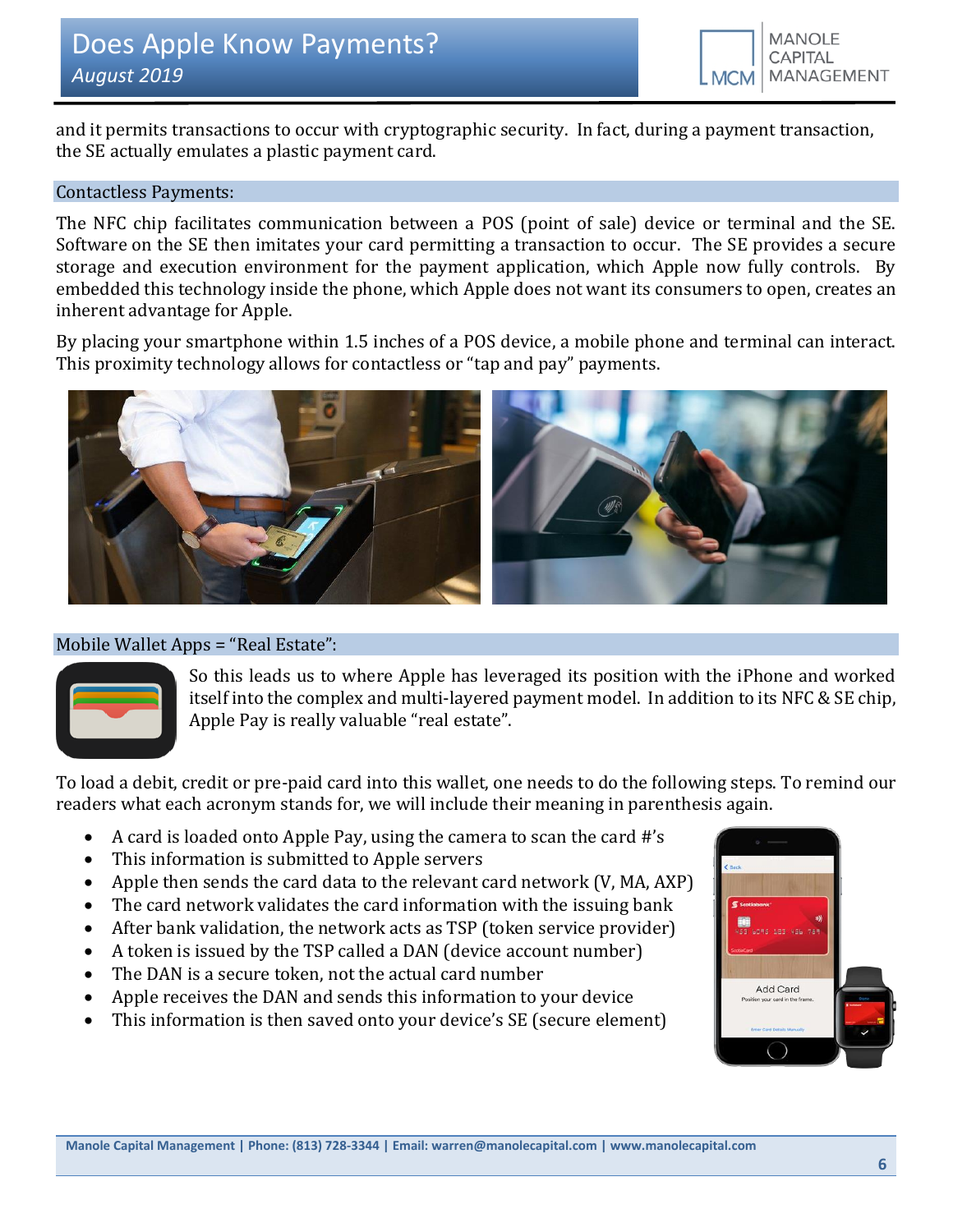

and it permits transactions to occur with cryptographic security. In fact, during a payment transaction, the SE actually emulates a plastic payment card.

# Contactless Payments:

The NFC chip facilitates communication between a POS (point of sale) device or terminal and the SE. Software on the SE then imitates your card permitting a transaction to occur. The SE provides a secure storage and execution environment for the payment application, which Apple now fully controls. By embedded this technology inside the phone, which Apple does not want its consumers to open, creates an inherent advantage for Apple.

By placing your smartphone within 1.5 inches of a POS device, a mobile phone and terminal can interact. This proximity technology allows for contactless or "tap and pay" payments.



# Mobile Wallet Apps = "Real Estate":



So this leads us to where Apple has leveraged its position with the iPhone and worked itself into the complex and multi-layered payment model. In addition to its NFC & SE chip, Apple Pay is really valuable "real estate".

To load a debit, credit or pre-paid card into this wallet, one needs to do the following steps. To remind our readers what each acronym stands for, we will include their meaning in parenthesis again.

- A card is loaded onto Apple Pay, using the camera to scan the card #'s
- This information is submitted to Apple servers
- Apple then sends the card data to the relevant card network (V, MA, AXP)
- The card network validates the card information with the issuing bank
- After bank validation, the network acts as TSP (token service provider)
- A token is issued by the TSP called a DAN (device account number)
- The DAN is a secure token, not the actual card number
- Apple receives the DAN and sends this information to your device
- This information is then saved onto your device's SE (secure element)

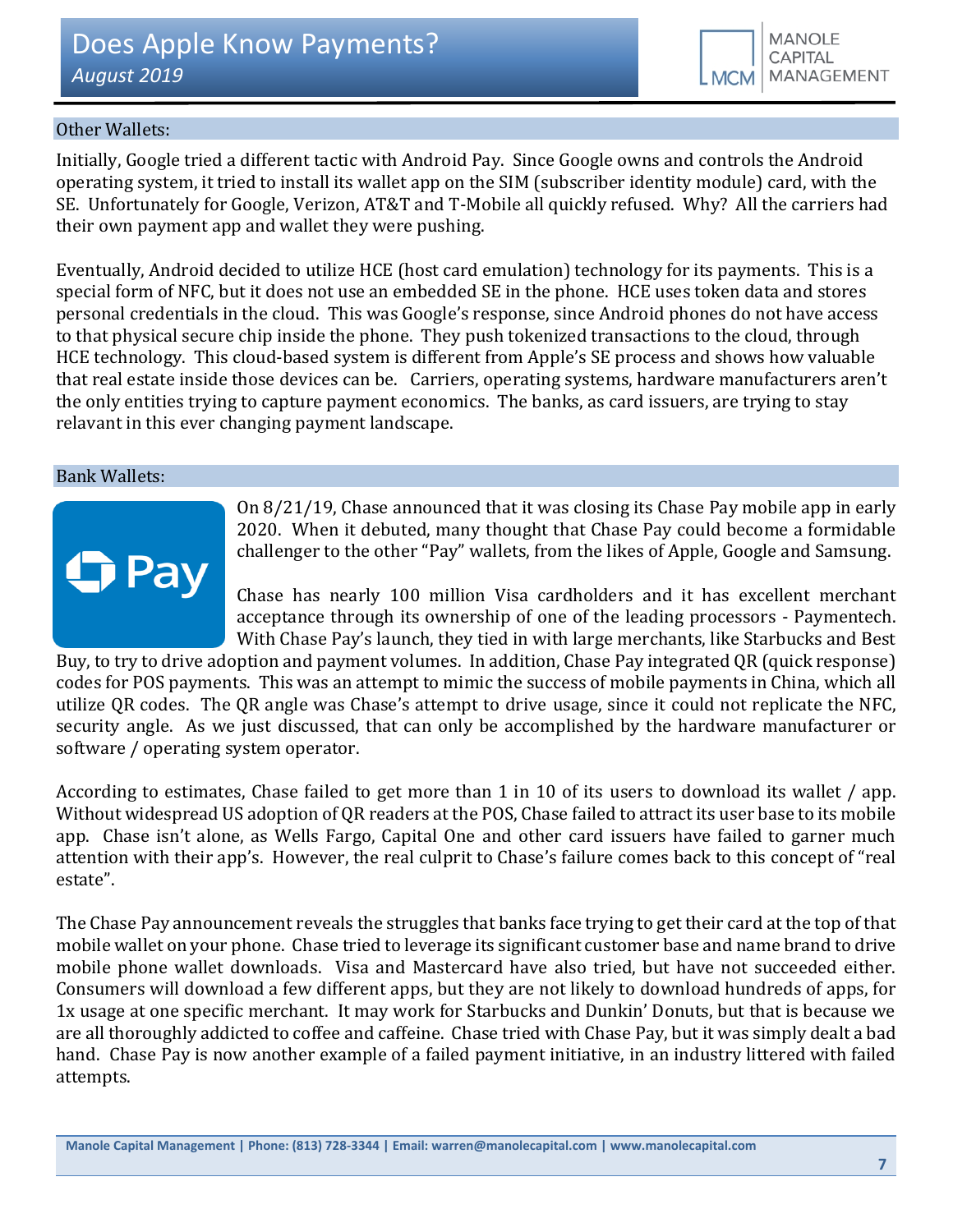# Other Wallets:

Initially, Google tried a different tactic with Android Pay. Since Google owns and controls the Android operating system, it tried to install its wallet app on the SIM (subscriber identity module) card, with the SE. Unfortunately for Google, Verizon, AT&T and T-Mobile all quickly refused. Why? All the carriers had their own payment app and wallet they were pushing.

Eventually, Android decided to utilize HCE (host card emulation) technology for its payments. This is a special form of NFC, but it does not use an embedded SE in the phone. HCE uses token data and stores personal credentials in the cloud. This was Google's response, since Android phones do not have access to that physical secure chip inside the phone. They push tokenized transactions to the cloud, through HCE technology. This cloud-based system is different from Apple's SE process and shows how valuable that real estate inside those devices can be. Carriers, operating systems, hardware manufacturers aren't the only entities trying to capture payment economics. The banks, as card issuers, are trying to stay relavant in this ever changing payment landscape.

#### Bank Wallets:



On 8/21/19, Chase announced that it was closing its Chase Pay mobile app in early 2020. When it debuted, many thought that Chase Pay could become a formidable challenger to the other "Pay" wallets, from the likes of Apple, Google and Samsung.

Chase has nearly 100 million Visa cardholders and it has excellent merchant acceptance through its ownership of one of the leading processors - Paymentech. With Chase Pay's launch, they tied in with large merchants, like Starbucks and Best

Buy, to try to drive adoption and payment volumes. In addition, Chase Pay integrated QR (quick response) codes for POS payments. This was an attempt to mimic the success of mobile payments in China, which all utilize QR codes. The QR angle was Chase's attempt to drive usage, since it could not replicate the NFC, security angle. As we just discussed, that can only be accomplished by the hardware manufacturer or software / operating system operator.

According to estimates, Chase failed to get more than 1 in 10 of its users to download its wallet / app. Without widespread US adoption of QR readers at the POS, Chase failed to attract its user base to its mobile app. Chase isn't alone, as Wells Fargo, Capital One and other card issuers have failed to garner much attention with their app's. However, the real culprit to Chase's failure comes back to this concept of "real estate".

The Chase Pay announcement reveals the struggles that banks face trying to get their card at the top of that mobile wallet on your phone. Chase tried to leverage its significant customer base and name brand to drive mobile phone wallet downloads. Visa and Mastercard have also tried, but have not succeeded either. Consumers will download a few different apps, but they are not likely to download hundreds of apps, for 1x usage at one specific merchant. It may work for Starbucks and Dunkin' Donuts, but that is because we are all thoroughly addicted to coffee and caffeine. Chase tried with Chase Pay, but it was simply dealt a bad hand. Chase Pay is now another example of a failed payment initiative, in an industry littered with failed attempts.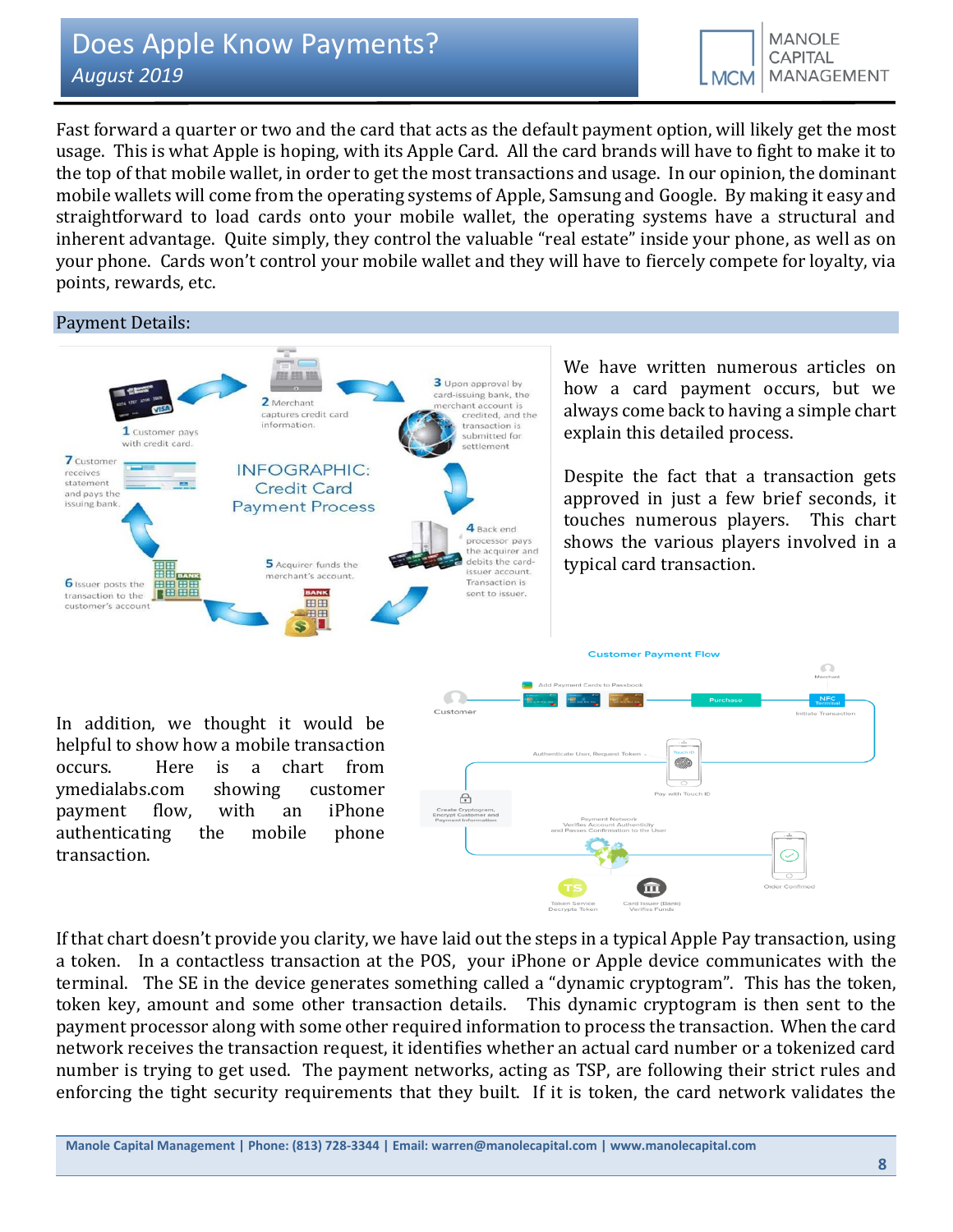Fast forward a quarter or two and the card that acts as the default payment option, will likely get the most usage. This is what Apple is hoping, with its Apple Card. All the card brands will have to fight to make it to the top of that mobile wallet, in order to get the most transactions and usage. In our opinion, the dominant mobile wallets will come from the operating systems of Apple, Samsung and Google. By making it easy and straightforward to load cards onto your mobile wallet, the operating systems have a structural and inherent advantage. Quite simply, they control the valuable "real estate" inside your phone, as well as on your phone. Cards won't control your mobile wallet and they will have to fiercely compete for loyalty, via points, rewards, etc.

# Payment Details:



We have written numerous articles on how a card payment occurs, but we always come back to having a simple chart explain this detailed process.

Despite the fact that a transaction gets approved in just a few brief seconds, it touches numerous players. This chart shows the various players involved in a typical card transaction.

In addition, we thought it would be helpful to show how a mobile transaction occurs. Here is a chart from ymedialabs.com showing customer payment flow, with an iPhone authenticating the mobile phone transaction.



If that chart doesn't provide you clarity, we have laid out the steps in a typical Apple Pay transaction, using a token. In a contactless transaction at the POS, your iPhone or Apple device communicates with the terminal. The SE in the device generates something called a "dynamic cryptogram". This has the token, token key, amount and some other transaction details. This dynamic cryptogram is then sent to the payment processor along with some other required information to process the transaction. When the card network receives the transaction request, it identifies whether an actual card number or a tokenized card number is trying to get used. The payment networks, acting as TSP, are following their strict rules and enforcing the tight security requirements that they built. If it is token, the card network validates the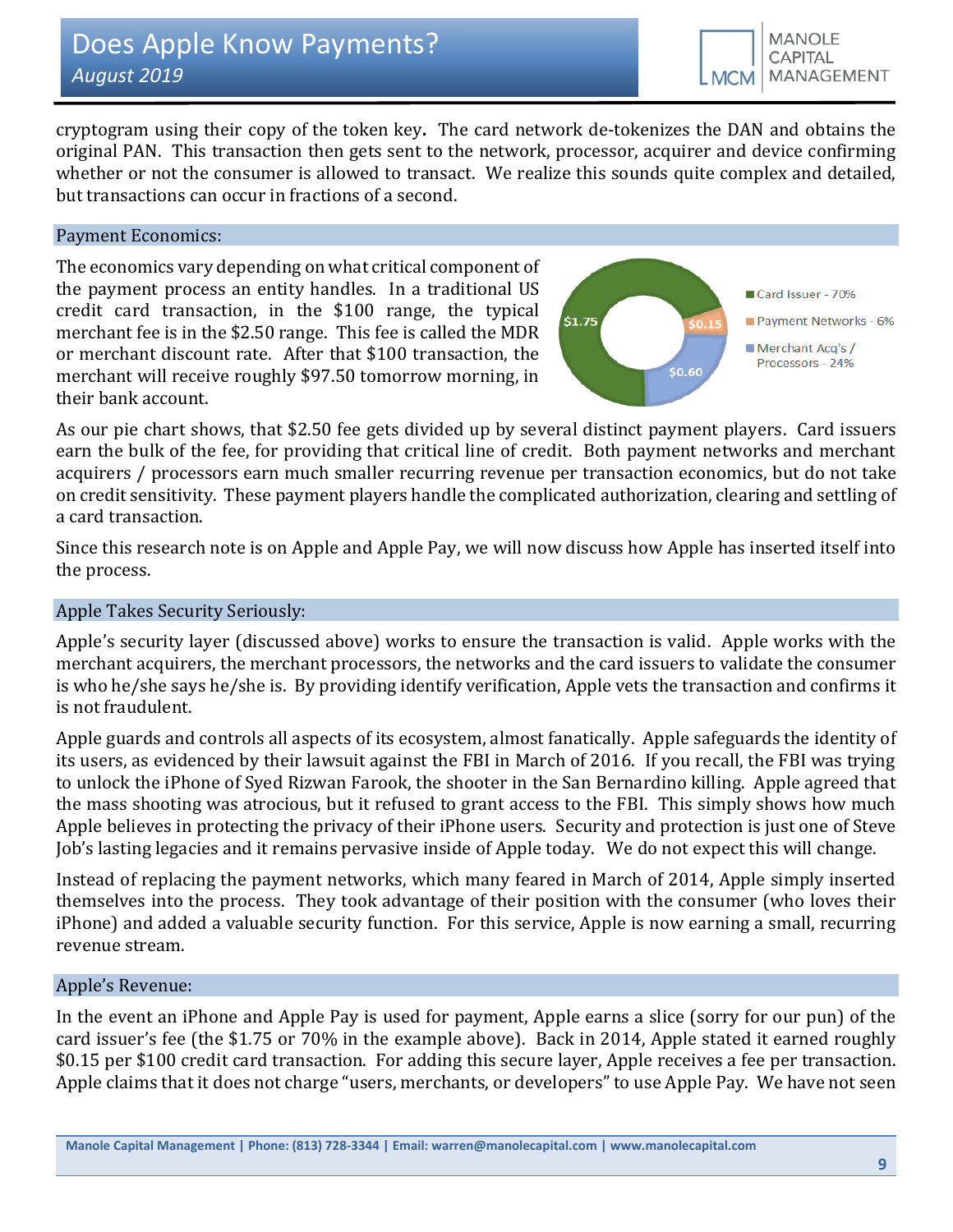cryptogram using their copy of the token key**.** The card network de-tokenizes the DAN and obtains the original PAN. This transaction then gets sent to the network, processor, acquirer and device confirming whether or not the consumer is allowed to transact. We realize this sounds quite complex and detailed, but transactions can occur in fractions of a second.

# Payment Economics:

The economics vary depending on what critical component of the payment process an entity handles. In a traditional US credit card transaction, in the \$100 range, the typical merchant fee is in the \$2.50 range. This fee is called the MDR or merchant discount rate. After that \$100 transaction, the merchant will receive roughly \$97.50 tomorrow morning, in their bank account.



As our pie chart shows, that \$2.50 fee gets divided up by several distinct payment players. Card issuers earn the bulk of the fee, for providing that critical line of credit. Both payment networks and merchant acquirers / processors earn much smaller recurring revenue per transaction economics, but do not take on credit sensitivity. These payment players handle the complicated authorization, clearing and settling of a card transaction.

Since this research note is on Apple and Apple Pay, we will now discuss how Apple has inserted itself into the process.

# Apple Takes Security Seriously:

Apple's security layer (discussed above) works to ensure the transaction is valid. Apple works with the merchant acquirers, the merchant processors, the networks and the card issuers to validate the consumer is who he/she says he/she is. By providing identify verification, Apple vets the transaction and confirms it is not fraudulent.

Apple guards and controls all aspects of its ecosystem, almost fanatically. Apple safeguards the identity of its users, as evidenced by their lawsuit against the FBI in March of 2016. If you recall, the FBI was trying to unlock the iPhone of Syed Rizwan Farook, the shooter in the San Bernardino killing. Apple agreed that the mass shooting was atrocious, but it refused to grant access to the FBI. This simply shows how much Apple believes in protecting the privacy of their iPhone users. Security and protection is just one of Steve Job's lasting legacies and it remains pervasive inside of Apple today. We do not expect this will change.

Instead of replacing the payment networks, which many feared in March of 2014, Apple simply inserted themselves into the process. They took advantage of their position with the consumer (who loves their iPhone) and added a valuable security function. For this service, Apple is now earning a small, recurring revenue stream.

#### Apple's Revenue:

In the event an iPhone and Apple Pay is used for payment, Apple earns a slice (sorry for our pun) of the card issuer's fee (the \$1.75 or 70% in the example above). Back in 2014, Apple stated it earned roughly \$0.15 per \$100 credit card transaction. For adding this secure layer, Apple receives a fee per transaction. Apple claims that it does not charge "users, merchants, or developers" to use Apple Pay. We have not seen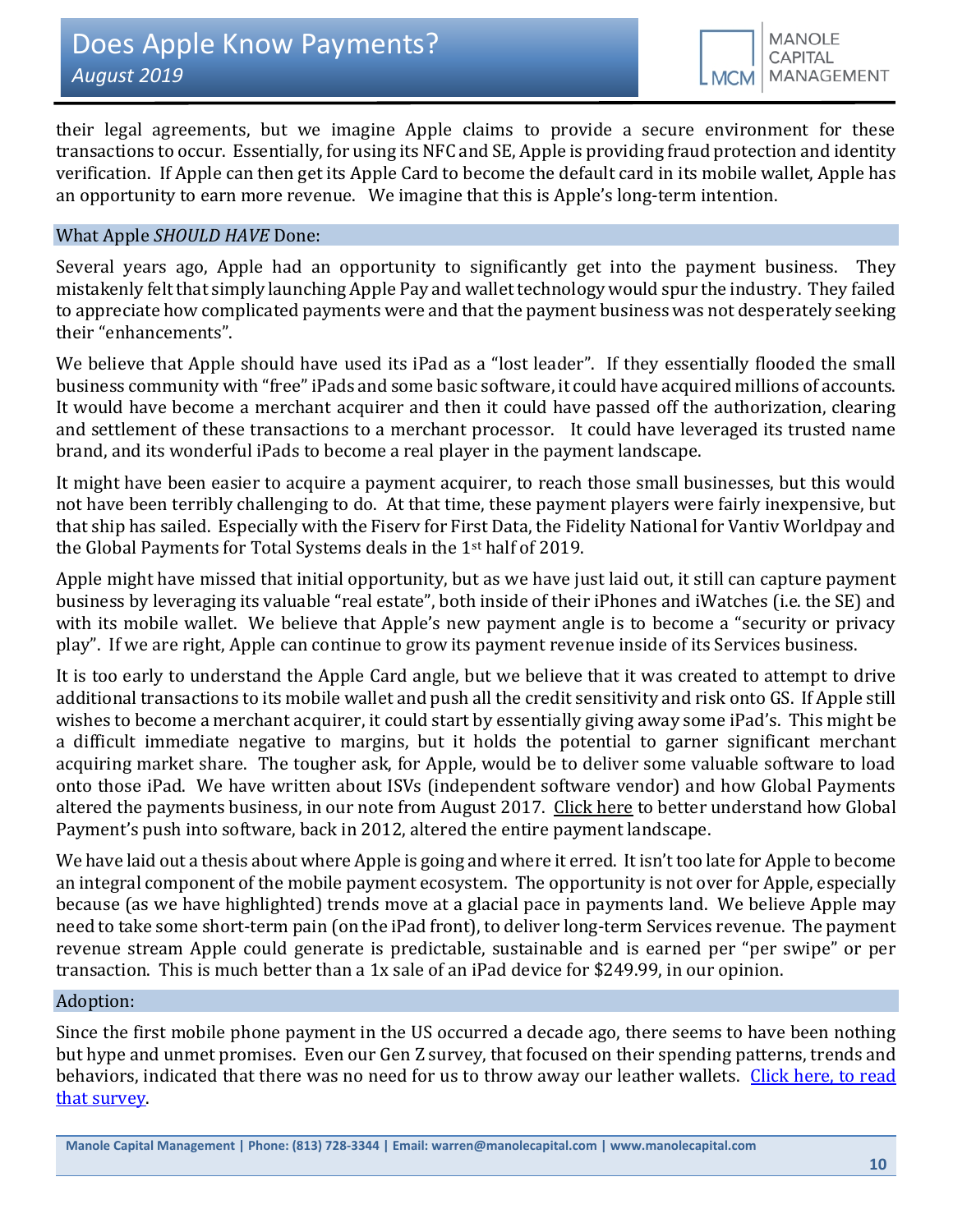their legal agreements, but we imagine Apple claims to provide a secure environment for these transactions to occur. Essentially, for using its NFC and SE, Apple is providing fraud protection and identity verification. If Apple can then get its Apple Card to become the default card in its mobile wallet, Apple has an opportunity to earn more revenue. We imagine that this is Apple's long-term intention.

## What Apple *SHOULD HAVE* Done:

Several years ago, Apple had an opportunity to significantly get into the payment business. They mistakenly felt that simply launching Apple Pay and wallet technology would spur the industry. They failed to appreciate how complicated payments were and that the payment business was not desperately seeking their "enhancements".

We believe that Apple should have used its iPad as a "lost leader". If they essentially flooded the small business community with "free" iPads and some basic software, it could have acquired millions of accounts. It would have become a merchant acquirer and then it could have passed off the authorization, clearing and settlement of these transactions to a merchant processor. It could have leveraged its trusted name brand, and its wonderful iPads to become a real player in the payment landscape.

It might have been easier to acquire a payment acquirer, to reach those small businesses, but this would not have been terribly challenging to do. At that time, these payment players were fairly inexpensive, but that ship has sailed. Especially with the Fiserv for First Data, the Fidelity National for Vantiv Worldpay and the Global Payments for Total Systems deals in the 1st half of 2019.

Apple might have missed that initial opportunity, but as we have just laid out, it still can capture payment business by leveraging its valuable "real estate", both inside of their iPhones and iWatches (i.e. the SE) and with its mobile wallet. We believe that Apple's new payment angle is to become a "security or privacy play". If we are right, Apple can continue to grow its payment revenue inside of its Services business.

It is too early to understand the Apple Card angle, but we believe that it was created to attempt to drive additional transactions to its mobile wallet and push all the credit sensitivity and risk onto GS. If Apple still wishes to become a merchant acquirer, it could start by essentially giving away some iPad's. This might be a difficult immediate negative to margins, but it holds the potential to garner significant merchant acquiring market share. The tougher ask, for Apple, would be to deliver some valuable software to load onto those iPad. We have written about ISVs (independent software vendor) and how Global Payments altered the payments business, in our note from August 2017. [Click here](https://docs.wixstatic.com/ugd/43315f_f7171a55dc4e4ab2aaae105f99c5adbb.pdf) to better understand how Global Payment's push into software, back in 2012, altered the entire payment landscape.

We have laid out a thesis about where Apple is going and where it erred. It isn't too late for Apple to become an integral component of the mobile payment ecosystem. The opportunity is not over for Apple, especially because (as we have highlighted) trends move at a glacial pace in payments land. We believe Apple may need to take some short-term pain (on the iPad front), to deliver long-term Services revenue. The payment revenue stream Apple could generate is predictable, sustainable and is earned per "per swipe" or per transaction. This is much better than a 1x sale of an iPad device for \$249.99, in our opinion.

## Adoption:

Since the first mobile phone payment in the US occurred a decade ago, there seems to have been nothing but hype and unmet promises. Even our Gen Z survey, that focused on their spending patterns, trends and behaviors, indicated that there was no need for us to throw away our leather wallets. Click here, to read [that survey.](https://seekingalpha.com/article/4261923-gen-z-thinks-payments)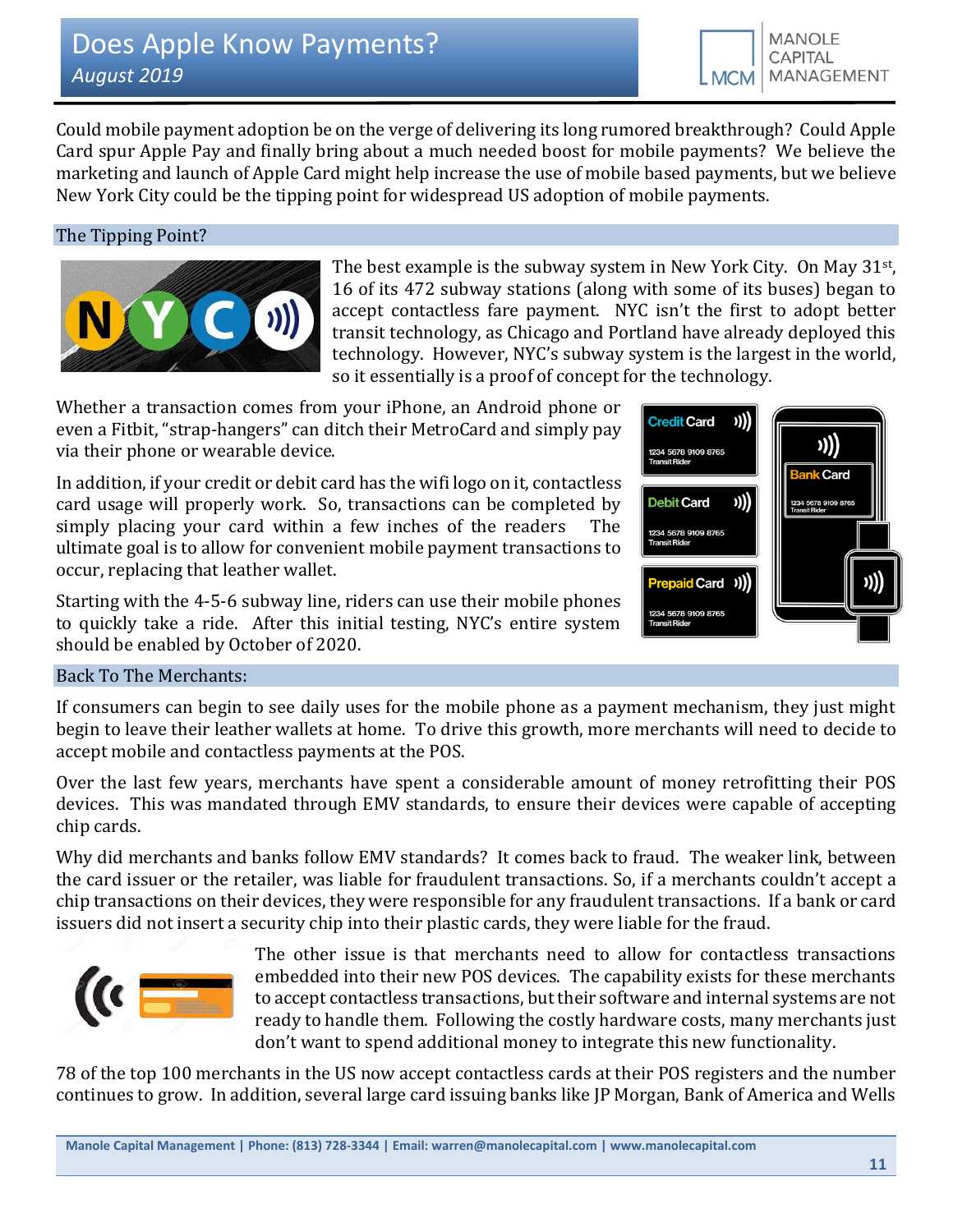Could mobile payment adoption be on the verge of delivering its long rumored breakthrough? Could Apple Card spur Apple Pay and finally bring about a much needed boost for mobile payments? We believe the marketing and launch of Apple Card might help increase the use of mobile based payments, but we believe New York City could be the tipping point for widespread US adoption of mobile payments.

# The Tipping Point?



The best example is the subway system in New York City. On May 31st, 16 of its 472 subway stations (along with some of its buses) began to accept contactless fare payment. NYC isn't the first to adopt better transit technology, as Chicago and Portland have already deployed this technology. However, NYC's subway system is the largest in the world, so it essentially is a proof of concept for the technology.

Whether a transaction comes from your iPhone, an Android phone or even a Fitbit, "strap-hangers" can ditch their MetroCard and simply pay via their phone or wearable device.

In addition, if your credit or debit card has the wifi logo on it, contactless card usage will properly work. So, transactions can be completed by simply placing your card within a few inches of the readers The ultimate goal is to allow for convenient mobile payment transactions to occur, replacing that leather wallet.

Starting with the 4-5-6 subway line, riders can use their mobile phones to quickly take a ride. After this initial testing, NYC's entire system should be enabled by October of 2020.



# Back To The Merchants:

If consumers can begin to see daily uses for the mobile phone as a payment mechanism, they just might begin to leave their leather wallets at home. To drive this growth, more merchants will need to decide to accept mobile and contactless payments at the POS.

Over the last few years, merchants have spent a considerable amount of money retrofitting their POS devices. This was mandated through EMV standards, to ensure their devices were capable of accepting chip cards.

Why did merchants and banks follow EMV standards? It comes back to fraud. The weaker link, between the card issuer or the retailer, was liable for fraudulent transactions. So, if a merchants couldn't accept a chip transactions on their devices, they were responsible for any fraudulent transactions. If a bank or card issuers did not insert a security chip into their plastic cards, they were liable for the fraud.



The other issue is that merchants need to allow for contactless transactions embedded into their new POS devices. The capability exists for these merchants to accept contactless transactions, but their software and internal systems are not ready to handle them. Following the costly hardware costs, many merchants just don't want to spend additional money to integrate this new functionality.

78 of the top 100 merchants in the US now accept contactless cards at their POS registers and the number continues to grow. In addition, several large card issuing banks like JP Morgan, Bank of America and Wells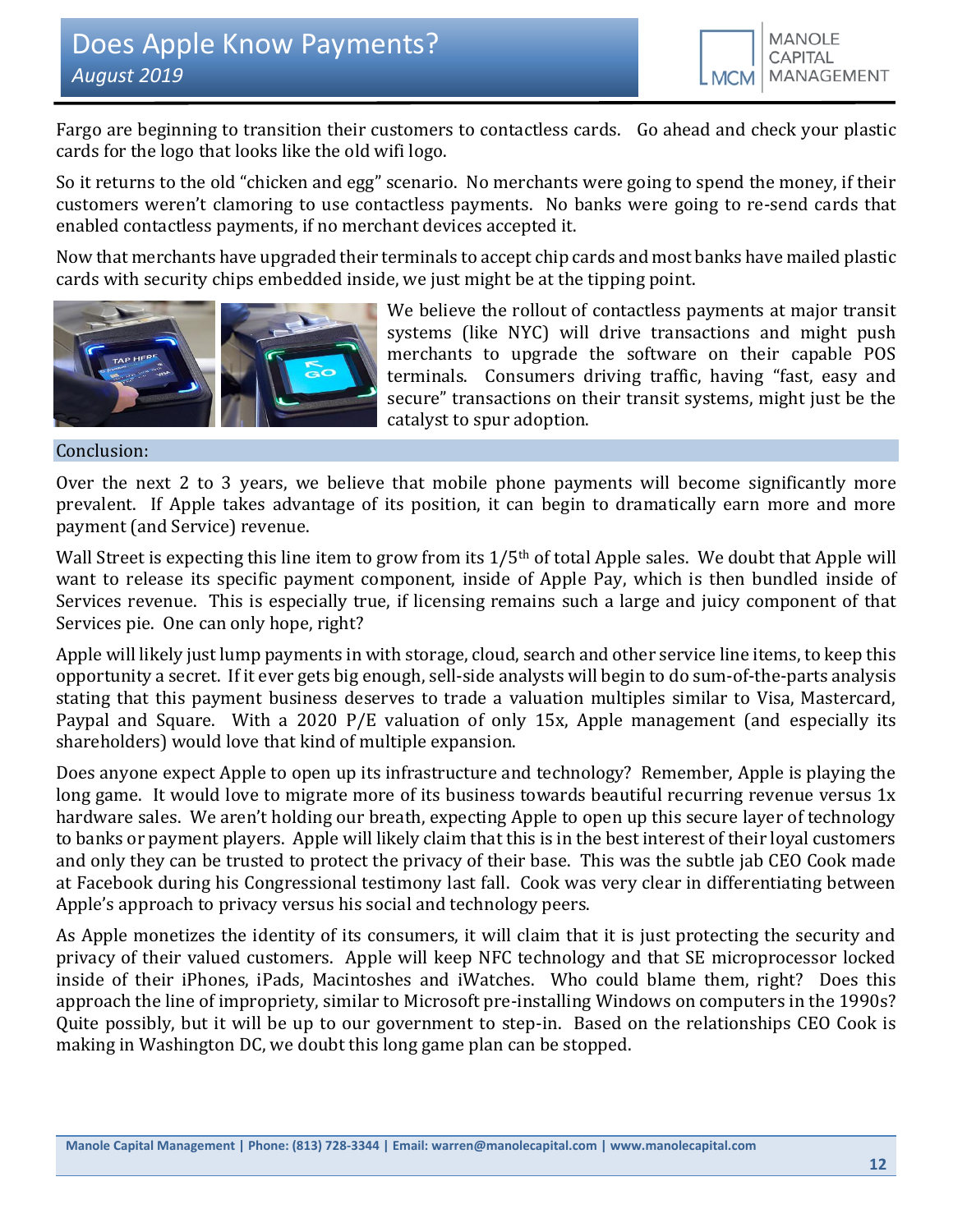Fargo are beginning to transition their customers to contactless cards. Go ahead and check your plastic cards for the logo that looks like the old wifi logo.

So it returns to the old "chicken and egg" scenario. No merchants were going to spend the money, if their customers weren't clamoring to use contactless payments. No banks were going to re-send cards that enabled contactless payments, if no merchant devices accepted it.

Now that merchants have upgraded their terminals to accept chip cards and most banks have mailed plastic cards with security chips embedded inside, we just might be at the tipping point.



We believe the rollout of contactless payments at major transit systems (like NYC) will drive transactions and might push merchants to upgrade the software on their capable POS terminals. Consumers driving traffic, having "fast, easy and secure" transactions on their transit systems, might just be the catalyst to spur adoption.

Conclusion:

Over the next 2 to 3 years, we believe that mobile phone payments will become significantly more prevalent. If Apple takes advantage of its position, it can begin to dramatically earn more and more payment (and Service) revenue.

Wall Street is expecting this line item to grow from its 1/5<sup>th</sup> of total Apple sales. We doubt that Apple will want to release its specific payment component, inside of Apple Pay, which is then bundled inside of Services revenue. This is especially true, if licensing remains such a large and juicy component of that Services pie. One can only hope, right?

Apple will likely just lump payments in with storage, cloud, search and other service line items, to keep this opportunity a secret. If it ever gets big enough, sell-side analysts will begin to do sum-of-the-parts analysis stating that this payment business deserves to trade a valuation multiples similar to Visa, Mastercard, Paypal and Square. With a 2020 P/E valuation of only 15x, Apple management (and especially its shareholders) would love that kind of multiple expansion.

Does anyone expect Apple to open up its infrastructure and technology? Remember, Apple is playing the long game. It would love to migrate more of its business towards beautiful recurring revenue versus 1x hardware sales. We aren't holding our breath, expecting Apple to open up this secure layer of technology to banks or payment players. Apple will likely claim that this is in the best interest of their loyal customers and only they can be trusted to protect the privacy of their base. This was the subtle jab CEO Cook made at Facebook during his Congressional testimony last fall. Cook was very clear in differentiating between Apple's approach to privacy versus his social and technology peers.

As Apple monetizes the identity of its consumers, it will claim that it is just protecting the security and privacy of their valued customers. Apple will keep NFC technology and that SE microprocessor locked inside of their iPhones, iPads, Macintoshes and iWatches. Who could blame them, right? Does this approach the line of impropriety, similar to Microsoft pre-installing Windows on computers in the 1990s? Quite possibly, but it will be up to our government to step-in. Based on the relationships CEO Cook is making in Washington DC, we doubt this long game plan can be stopped.